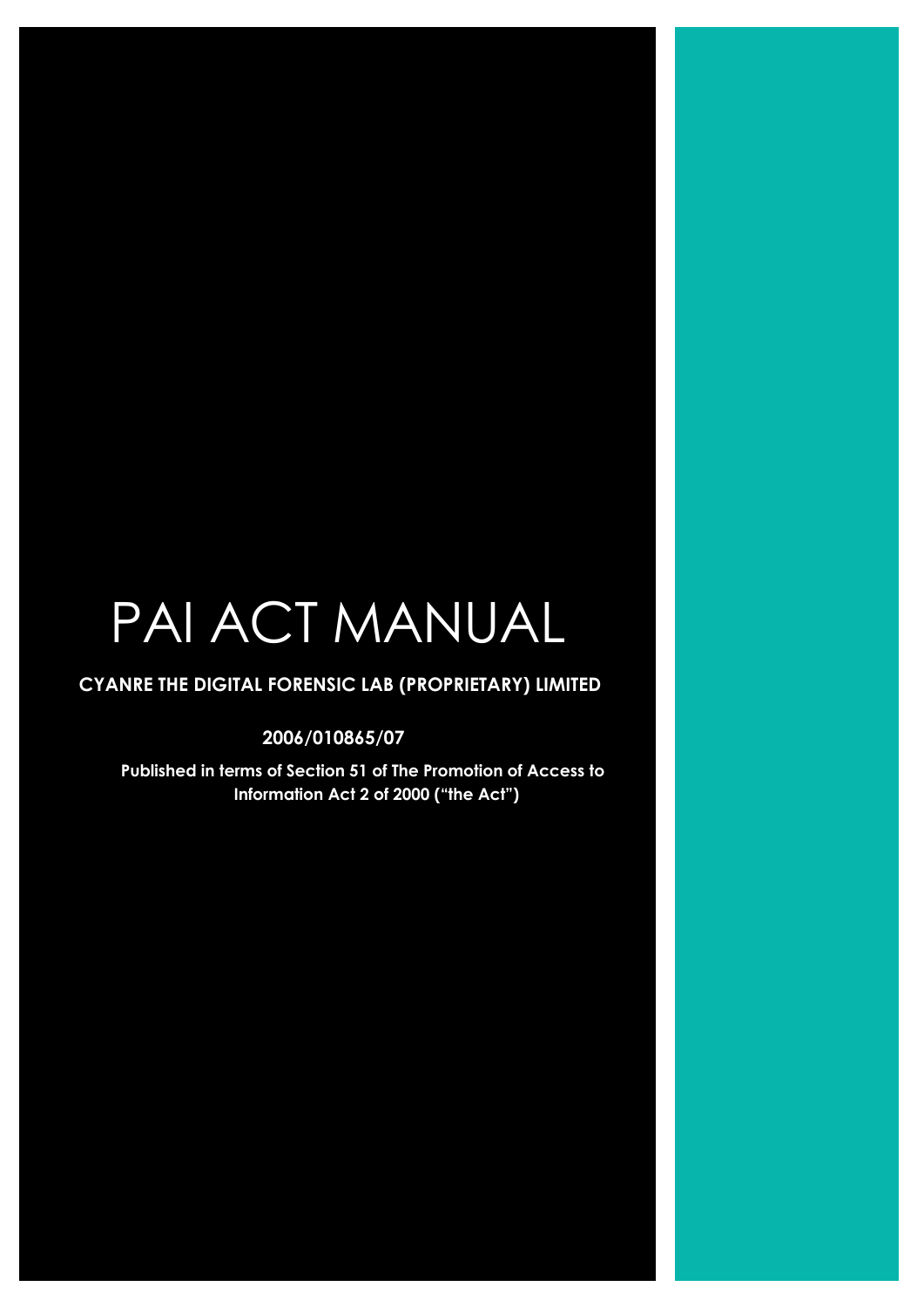# PAI ACT MANUAL

# **CYANRE THE DIGITAL FORENSIC LAB (PROPRIETARY) LIMITED**

**2006/010865/07**

**Published in terms of Section 51 of The Promotion of Access to Information Act 2 of 2000 ("the Act")**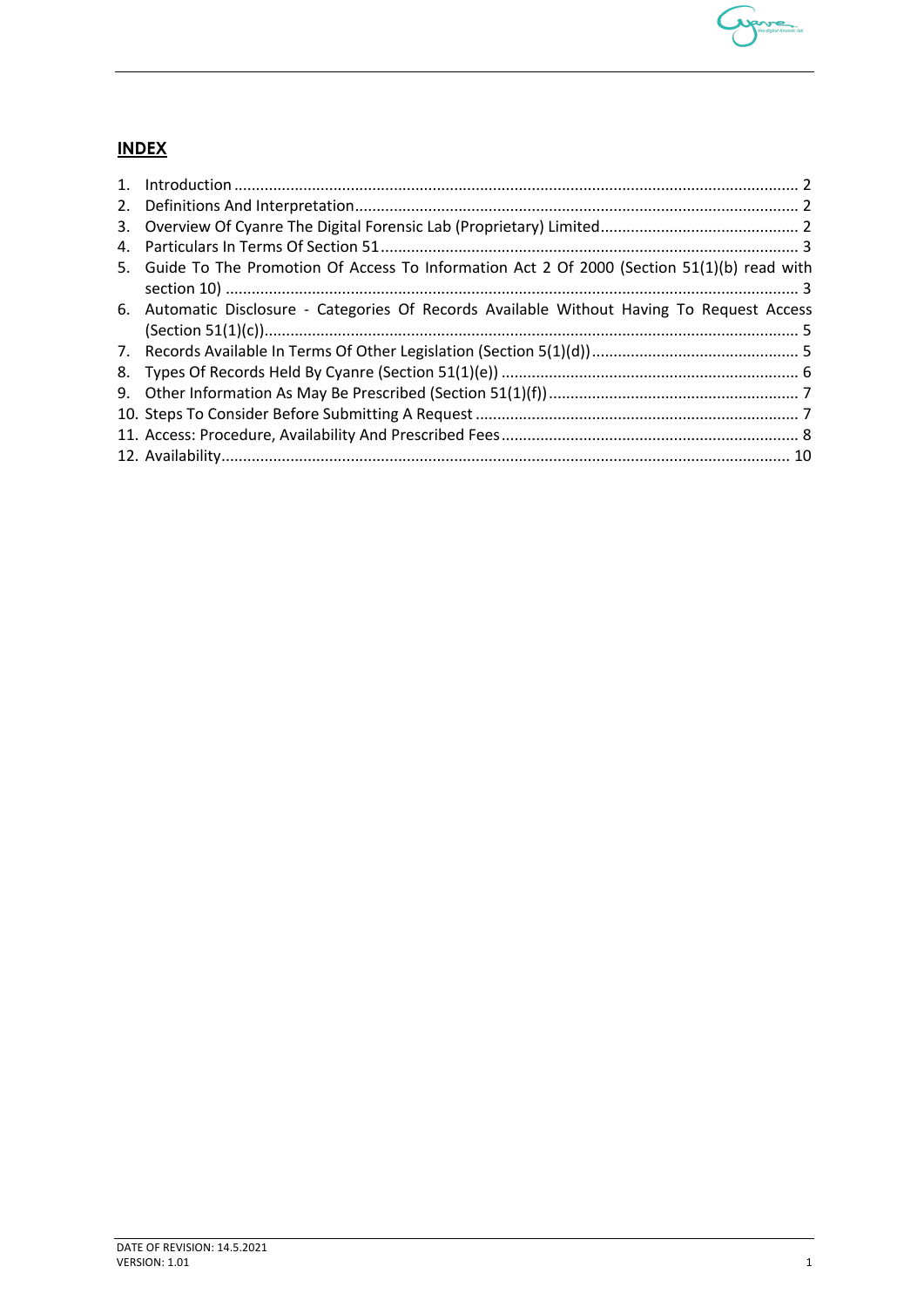

# **INDEX**

| 4. |                                                                                              |
|----|----------------------------------------------------------------------------------------------|
|    | 5. Guide To The Promotion Of Access To Information Act 2 Of 2000 (Section 51(1)(b) read with |
|    |                                                                                              |
|    | 6. Automatic Disclosure - Categories Of Records Available Without Having To Request Access   |
|    |                                                                                              |
|    |                                                                                              |
|    |                                                                                              |
|    |                                                                                              |
|    |                                                                                              |
|    |                                                                                              |
|    |                                                                                              |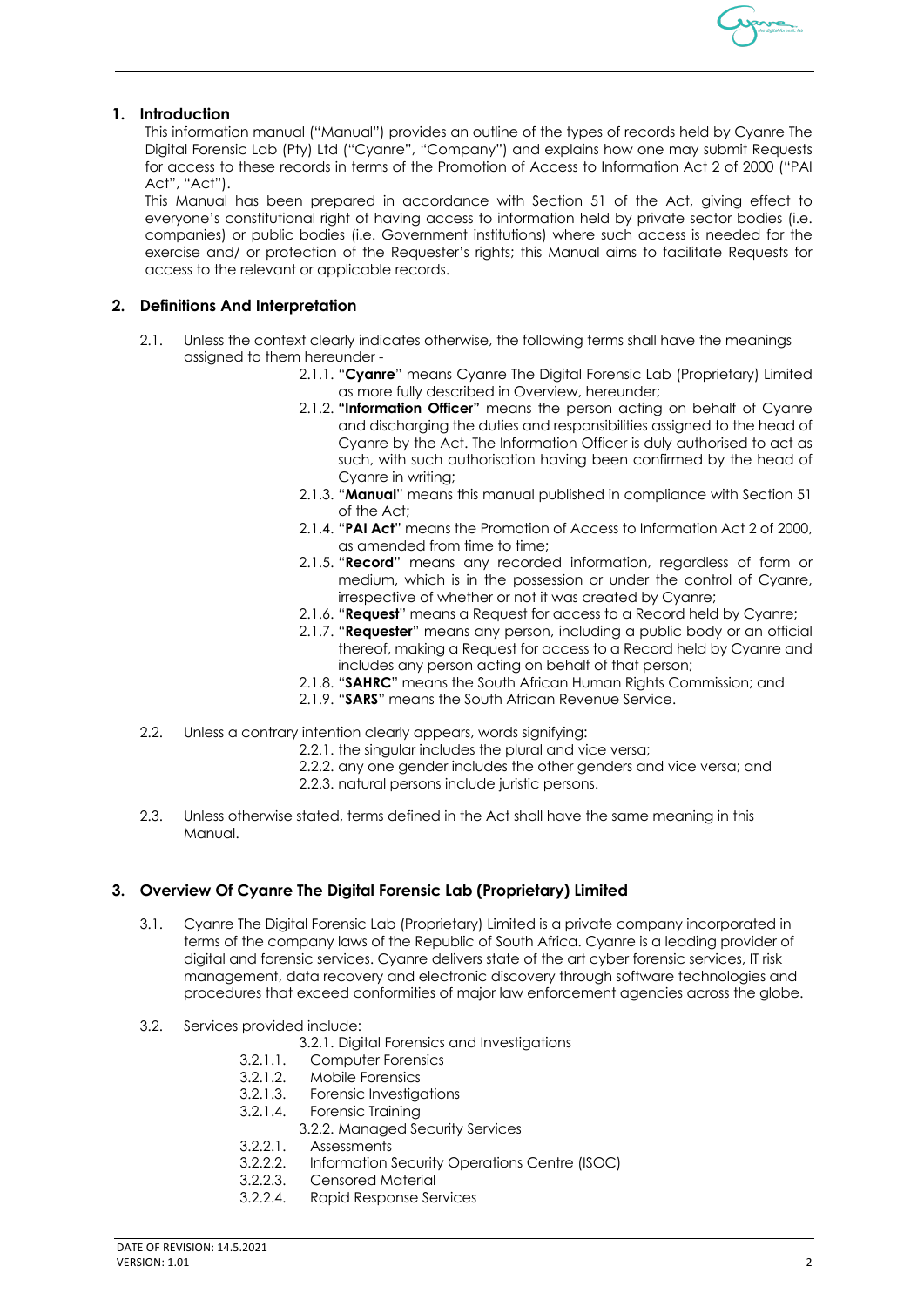

# **1. Introduction**

This information manual ("Manual") provides an outline of the types of records held by Cyanre The Digital Forensic Lab (Pty) Ltd ("Cyanre", "Company") and explains how one may submit Requests for access to these records in terms of the Promotion of Access to Information Act 2 of 2000 ("PAI Act", "Act").

This Manual has been prepared in accordance with Section 51 of the Act, giving effect to everyone's constitutional right of having access to information held by private sector bodies (i.e. companies) or public bodies (i.e. Government institutions) where such access is needed for the exercise and/ or protection of the Requester's rights; this Manual aims to facilitate Requests for access to the relevant or applicable records.

# **2. Definitions And Interpretation**

- 2.1. Unless the context clearly indicates otherwise, the following terms shall have the meanings assigned to them hereunder -
	- 2.1.1. "**Cyanre**" means Cyanre The Digital Forensic Lab (Proprietary) Limited as more fully described in Overview, hereunder;
	- 2.1.2. **"Information Officer"** means the person acting on behalf of Cyanre and discharging the duties and responsibilities assigned to the head of Cyanre by the Act. The Information Officer is duly authorised to act as such, with such authorisation having been confirmed by the head of Cyanre in writing;
	- 2.1.3. "**Manual**" means this manual published in compliance with Section 51 of the Act;
	- 2.1.4. "**PAI Act**" means the Promotion of Access to Information Act 2 of 2000, as amended from time to time;
	- 2.1.5. "**Record**" means any recorded information, regardless of form or medium, which is in the possession or under the control of Cyanre, irrespective of whether or not it was created by Cyanre;
	- 2.1.6. "**Request**" means a Request for access to a Record held by Cyanre;
	- 2.1.7. "**Requester**" means any person, including a public body or an official thereof, making a Request for access to a Record held by Cyanre and includes any person acting on behalf of that person;
	- 2.1.8. "**SAHRC**" means the South African Human Rights Commission; and
	- 2.1.9. "**SARS**" means the South African Revenue Service.
- 2.2. Unless a contrary intention clearly appears, words signifying:
	- 2.2.1. the singular includes the plural and vice versa;
	- 2.2.2. any one gender includes the other genders and vice versa; and
	- 2.2.3. natural persons include juristic persons.
- 2.3. Unless otherwise stated, terms defined in the Act shall have the same meaning in this Manual.

# **3. Overview Of Cyanre The Digital Forensic Lab (Proprietary) Limited**

- 3.1. Cyanre The Digital Forensic Lab (Proprietary) Limited is a private company incorporated in terms of the company laws of the Republic of South Africa. Cyanre is a leading provider of digital and forensic services. Cyanre delivers state of the art cyber forensic services, IT risk management, data recovery and electronic discovery through software technologies and procedures that exceed conformities of major law enforcement agencies across the globe.
- 3.2. Services provided include:
	- 3.2.1. Digital Forensics and Investigations
	- 3.2.1.1. Computer Forensics
	- 3.2.1.2. Mobile Forensics
	- 3.2.1.3. Forensic Investigations
	- 3.2.1.4. Forensic Training
		- 3.2.2. Managed Security Services
	- 3.2.2.1. Assessments
	- 3.2.2.2. Information Security Operations Centre (ISOC)
	- 3.2.2.3. Censored Material
	- 3.2.2.4. Rapid Response Services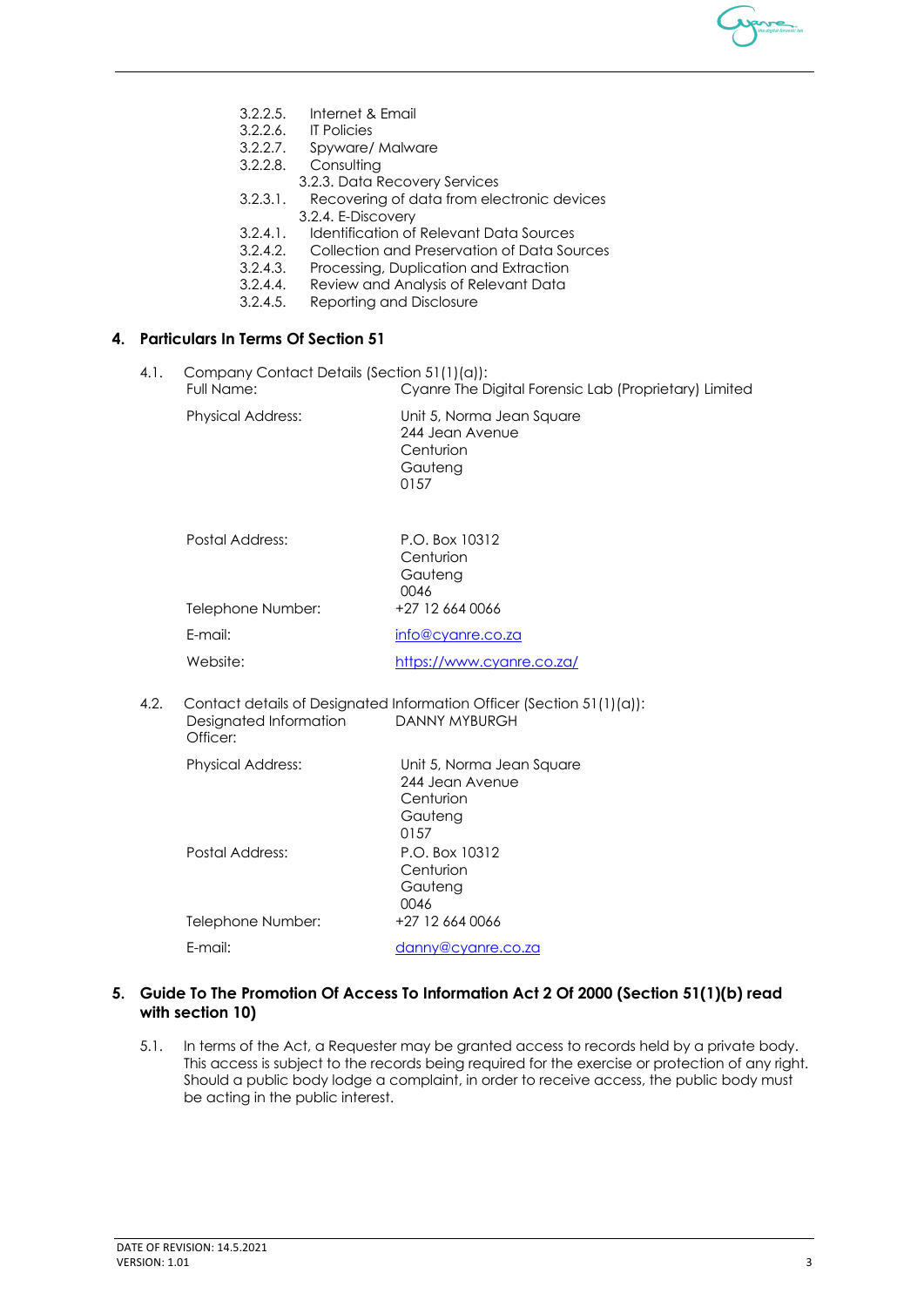

- 3.2.2.5. Internet & Email
- 3.2.2.6. IT Policies
- 3.2.2.7. Spyware/ Malware
- 3.2.2.8. Consulting
	- 3.2.3. Data Recovery Services
- 3.2.3.1. Recovering of data from electronic devices 3.2.4. E-Discovery
- 3.2.4.1. Identification of Relevant Data Sources
- 3.2.4.2. Collection and Preservation of Data Sources<br>3.2.4.3. Processing. Duplication and Extraction
- 3.2.4.3. Processing, Duplication and Extraction
- 3.2.4.4. Review and Analysis of Relevant Data
- 3.2.4.5. Reporting and Disclosure

# **4. Particulars In Terms Of Section 51**

4.1. Company Contact Details (Section 51(1)(a)): Full Name: Cyanre The Digital Forensic Lab (Proprietary) Limited

| <b>Physical Address:</b> | Unit 5, Norma Jean Square<br>244 Jean Avenue |  |  |  |  |
|--------------------------|----------------------------------------------|--|--|--|--|
|                          | Centurion                                    |  |  |  |  |
|                          | Gauteng                                      |  |  |  |  |
|                          | 0157                                         |  |  |  |  |

| Postal Address:   | P.O. Box 10312            |  |  |  |  |  |
|-------------------|---------------------------|--|--|--|--|--|
|                   | Centurion                 |  |  |  |  |  |
|                   | Gauteng                   |  |  |  |  |  |
|                   | 0046                      |  |  |  |  |  |
| Telephone Number: | +27 12 664 0066           |  |  |  |  |  |
| E-mail:           | info@cyanre.co.za         |  |  |  |  |  |
| Website:          | https://www.cyanre.co.za/ |  |  |  |  |  |

4.2. Contact details of Designated Information Officer (Section 51(1)(a)): Designated Information Officer: DANNY MYBURGH

| <b>Physical Address:</b> | Unit 5, Norma Jean Square<br>244 Jean Avenue<br>Centurion |
|--------------------------|-----------------------------------------------------------|
|                          | Gauteng                                                   |
|                          | 0157                                                      |
| Postal Address:          | P.O. Box 10312                                            |
|                          | Centurion                                                 |
|                          | Gauteng                                                   |
|                          | 0046                                                      |
| Telephone Number:        | +27 12 664 0066                                           |
| F-mail <sup>.</sup>      | danny@cyanre.co.za                                        |

# **5. Guide To The Promotion Of Access To Information Act 2 Of 2000 (Section 51(1)(b) read with section 10)**

5.1. In terms of the Act, a Requester may be granted access to records held by a private body. This access is subject to the records being required for the exercise or protection of any right. Should a public body lodge a complaint, in order to receive access, the public body must be acting in the public interest.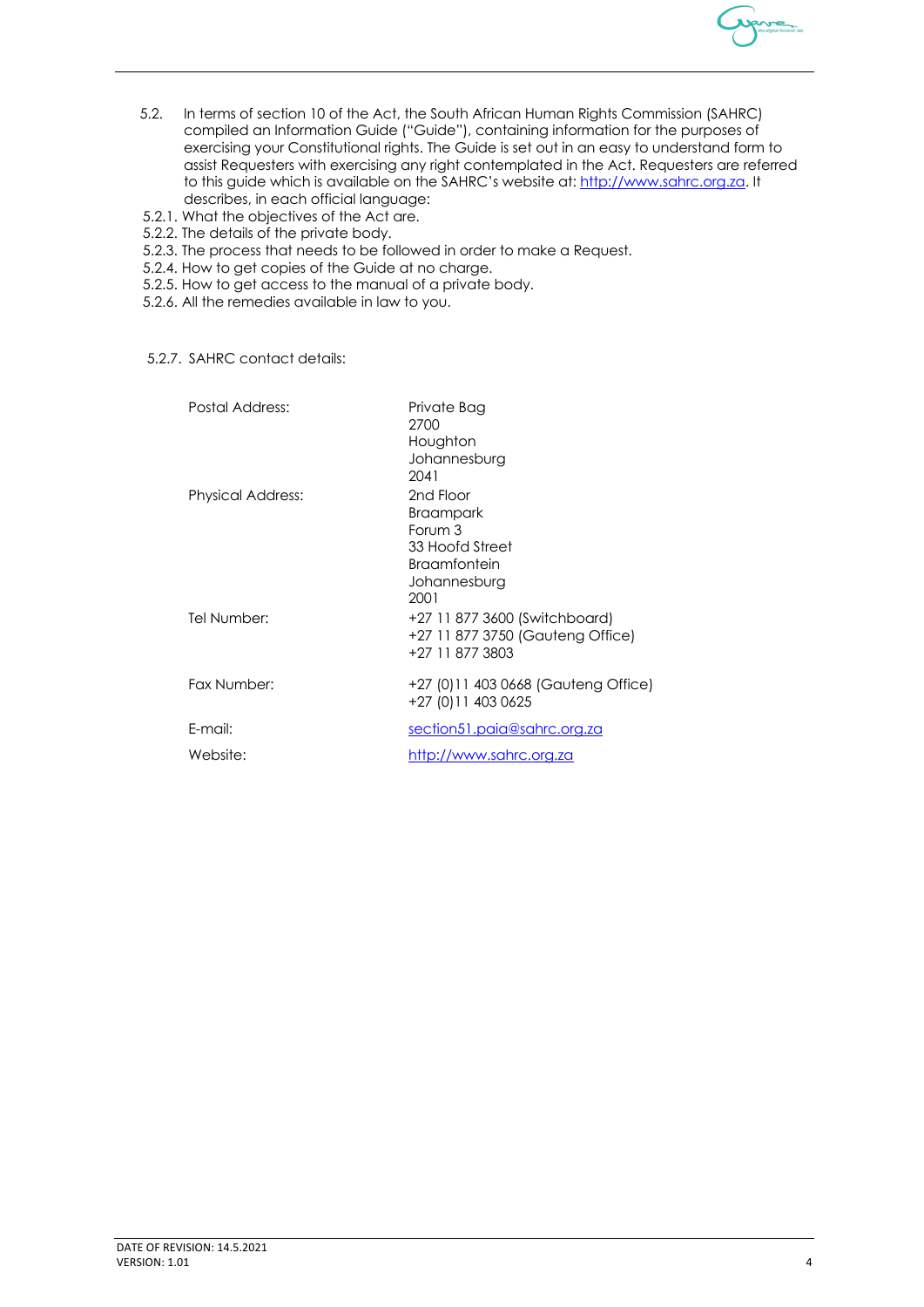

- 5.2. In terms of section 10 of the Act, the South African Human Rights Commission (SAHRC) compiled an Information Guide ("Guide"), containing information for the purposes of exercising your Constitutional rights. The Guide is set out in an easy to understand form to assist Requesters with exercising any right contemplated in the Act. Requesters are referred to this guide which is available on the SAHRC's website at: http://www.sahrc.org.za. It describes, in each official language:
- 5.2.1. What the objectives of the Act are.
- 5.2.2. The details of the private body.
- 5.2.3. The process that needs to be followed in order to make a Request.
- 5.2.4. How to get copies of the Guide at no charge.
- 5.2.5. How to get access to the manual of a private body.
- 5.2.6. All the remedies available in law to you.
- 5.2.7. SAHRC contact details:

| Postal Address:          | Private Bag<br>2700<br>Houghton<br>Johannesburg<br>2041                                                    |
|--------------------------|------------------------------------------------------------------------------------------------------------|
| <b>Physical Address:</b> | 2nd Floor<br><b>Braampark</b><br>Forum 3<br>33 Hoofd Street<br><b>Braamfontein</b><br>Johannesburg<br>2001 |
| Tel Number:              | +27 11 877 3600 (Switchboard)<br>+27 11 877 3750 (Gauteng Office)<br>+27 11 877 3803                       |
| Fax Number:              | +27 (0) 11 403 0668 (Gauteng Office)<br>+27 (0) 11 403 0625                                                |
| $F$ -mail:               | section51.paia@sahrc.org.za                                                                                |
| Website:                 | http://www.sahrc.org.za                                                                                    |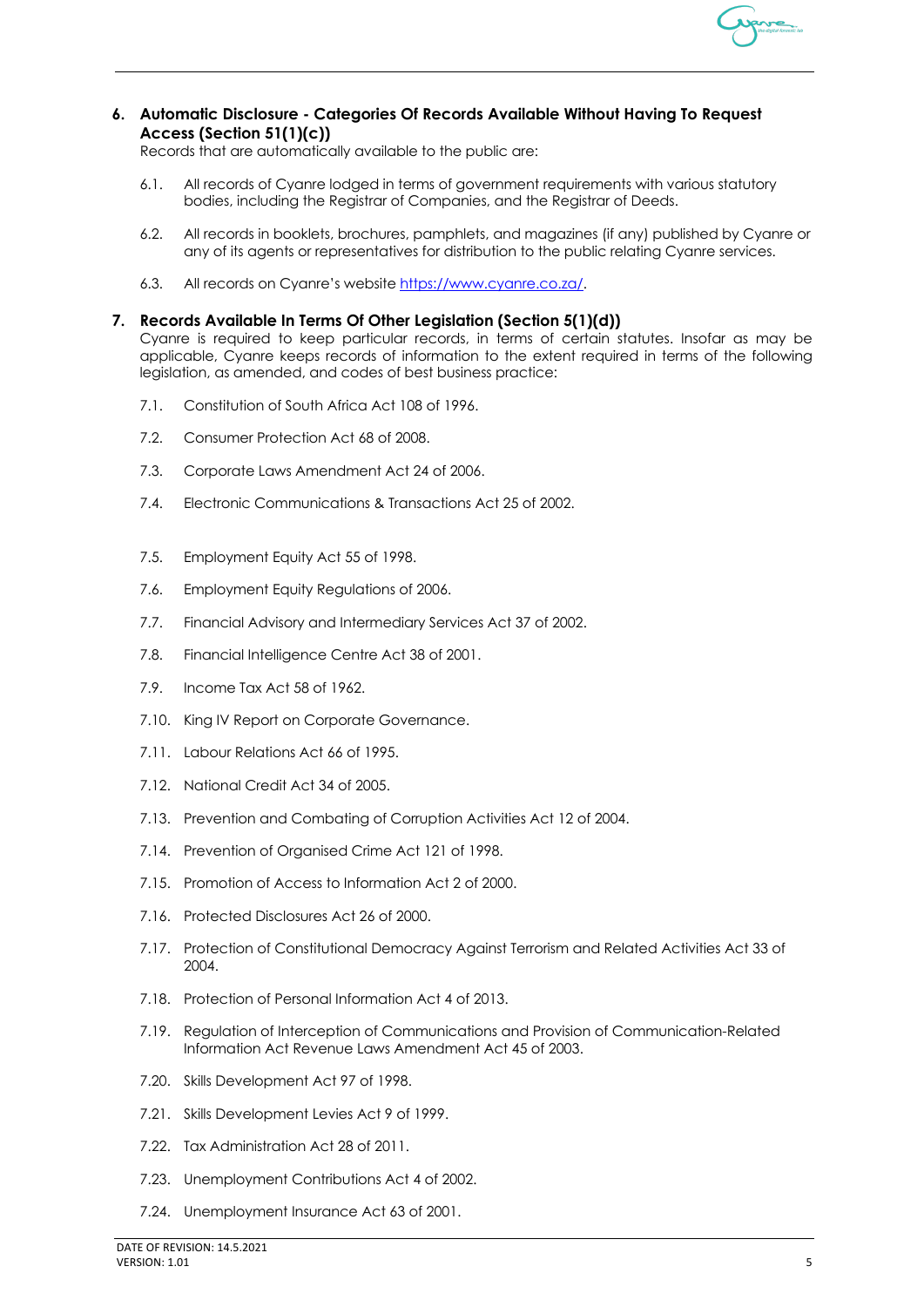

# **6. Automatic Disclosure - Categories Of Records Available Without Having To Request Access (Section 51(1)(c))**

Records that are automatically available to the public are:

- 6.1. All records of Cyanre lodged in terms of government requirements with various statutory bodies, including the Registrar of Companies, and the Registrar of Deeds.
- 6.2. All records in booklets, brochures, pamphlets, and magazines (if any) published by Cyanre or any of its agents or representatives for distribution to the public relating Cyanre services.
- 6.3. All records on Cyanre's website https://www.cyanre.co.za/.

# **7. Records Available In Terms Of Other Legislation (Section 5(1)(d))**

Cyanre is required to keep particular records, in terms of certain statutes. Insofar as may be applicable, Cyanre keeps records of information to the extent required in terms of the following legislation, as amended, and codes of best business practice:

- 7.1. Constitution of South Africa Act 108 of 1996.
- 7.2. Consumer Protection Act 68 of 2008.
- 7.3. Corporate Laws Amendment Act 24 of 2006.
- 7.4. Electronic Communications & Transactions Act 25 of 2002.
- 7.5. Employment Equity Act 55 of 1998.
- 7.6. Employment Equity Regulations of 2006.
- 7.7. Financial Advisory and Intermediary Services Act 37 of 2002.
- 7.8. Financial Intelligence Centre Act 38 of 2001.
- 7.9. Income Tax Act 58 of 1962.
- 7.10. King IV Report on Corporate Governance.
- 7.11. Labour Relations Act 66 of 1995.
- 7.12. National Credit Act 34 of 2005.
- 7.13. Prevention and Combating of Corruption Activities Act 12 of 2004.
- 7.14. Prevention of Organised Crime Act 121 of 1998.
- 7.15. Promotion of Access to Information Act 2 of 2000.
- 7.16. Protected Disclosures Act 26 of 2000.
- 7.17. Protection of Constitutional Democracy Against Terrorism and Related Activities Act 33 of  $2004$
- 7.18. Protection of Personal Information Act 4 of 2013.
- 7.19. Regulation of Interception of Communications and Provision of Communication-Related Information Act Revenue Laws Amendment Act 45 of 2003.
- 7.20. Skills Development Act 97 of 1998.
- 7.21. Skills Development Levies Act 9 of 1999.
- 7.22. Tax Administration Act 28 of 2011.
- 7.23. Unemployment Contributions Act 4 of 2002.
- 7.24. Unemployment Insurance Act 63 of 2001.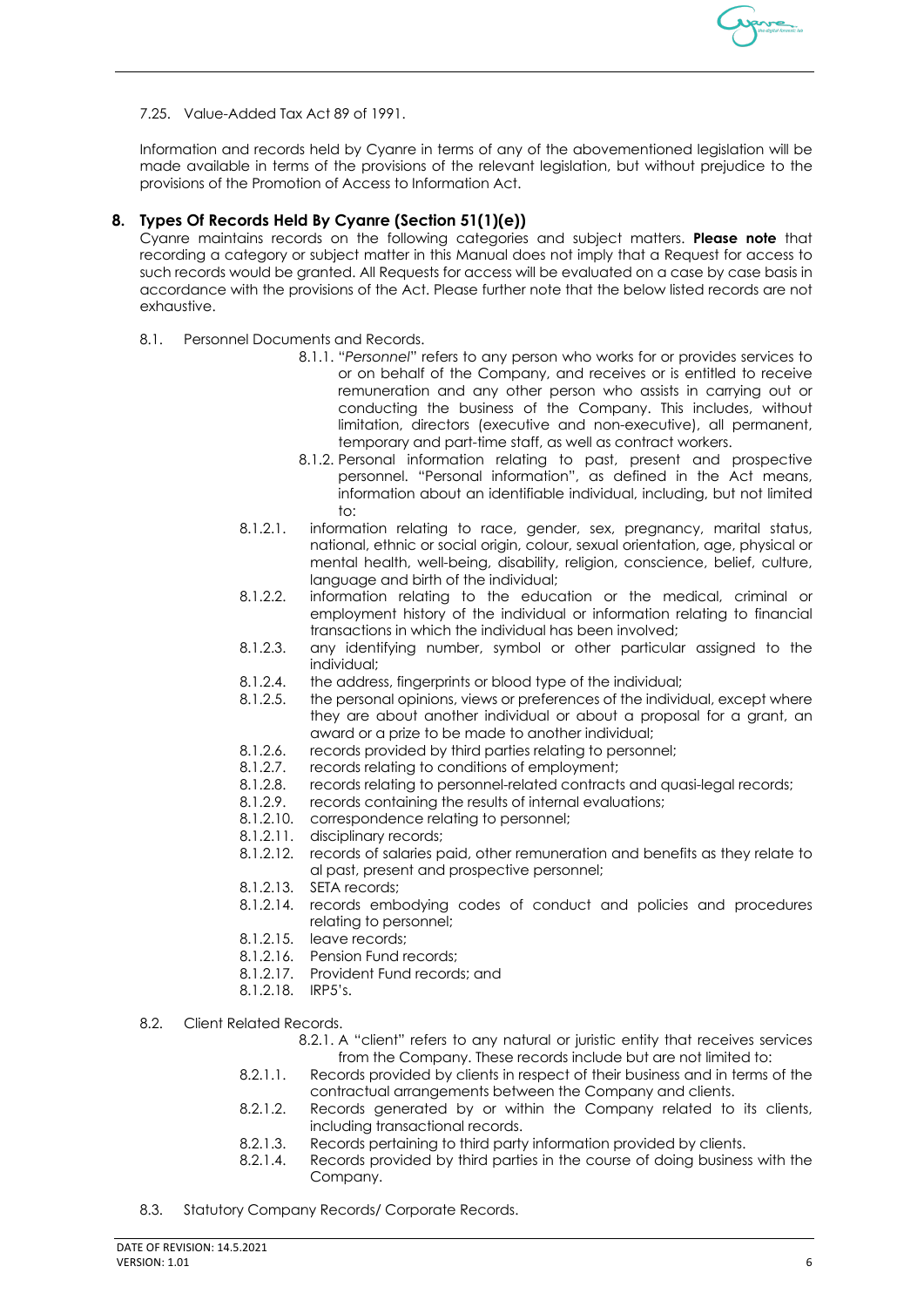

7.25. Value-Added Tax Act 89 of 1991.

Information and records held by Cyanre in terms of any of the abovementioned legislation will be made available in terms of the provisions of the relevant legislation, but without prejudice to the provisions of the Promotion of Access to Information Act.

# **8. Types Of Records Held By Cyanre (Section 51(1)(e))**

Cyanre maintains records on the following categories and subject matters. **Please note** that recording a category or subject matter in this Manual does not imply that a Request for access to such records would be granted. All Requests for access will be evaluated on a case by case basis in accordance with the provisions of the Act. Please further note that the below listed records are not exhaustive.

- 8.1. Personnel Documents and Records.
	- 8.1.1. "*Personnel*" refers to any person who works for or provides services to or on behalf of the Company, and receives or is entitled to receive remuneration and any other person who assists in carrying out or conducting the business of the Company. This includes, without limitation, directors (executive and non-executive), all permanent, temporary and part-time staff, as well as contract workers.
	- 8.1.2. Personal information relating to past, present and prospective personnel. "Personal information", as defined in the Act means, information about an identifiable individual, including, but not limited  $t \circ$
	- 8.1.2.1. information relating to race, gender, sex, pregnancy, marital status, national, ethnic or social origin, colour, sexual orientation, age, physical or mental health, well-being, disability, religion, conscience, belief, culture, language and birth of the individual;
	- 8.1.2.2. information relating to the education or the medical, criminal or employment history of the individual or information relating to financial transactions in which the individual has been involved;
	- 8.1.2.3. any identifying number, symbol or other particular assigned to the individual;
	- 8.1.2.4. the address, fingerprints or blood type of the individual;
	- 8.1.2.5. the personal opinions, views or preferences of the individual, except where they are about another individual or about a proposal for a grant, an award or a prize to be made to another individual;
	- 8.1.2.6. records provided by third parties relating to personnel;
	- 8.1.2.7. records relating to conditions of employment;
	- 8.1.2.8. records relating to personnel-related contracts and quasi-legal records;
	- 8.1.2.9. records containing the results of internal evaluations;
	- 8.1.2.10. correspondence relating to personnel;
	- 8.1.2.11. disciplinary records;
	- 8.1.2.12. records of salaries paid, other remuneration and benefits as they relate to al past, present and prospective personnel;
	- 8.1.2.13. SETA records;
	- 8.1.2.14. records embodying codes of conduct and policies and procedures relating to personnel;
	- 8.1.2.15. leave records;
	- 8.1.2.16. Pension Fund records;
	- 8.1.2.17. Provident Fund records; and
	- 8.1.2.18. IRP5's.
- 8.2. Client Related Records.
	- 8.2.1. A "client" refers to any natural or juristic entity that receives services from the Company. These records include but are not limited to:
	- 8.2.1.1. Records provided by clients in respect of their business and in terms of the contractual arrangements between the Company and clients.
	- 8.2.1.2. Records generated by or within the Company related to its clients, including transactional records.
	- 8.2.1.3. Records pertaining to third party information provided by clients.
	- 8.2.1.4. Records provided by third parties in the course of doing business with the Company.
- 8.3. Statutory Company Records/ Corporate Records.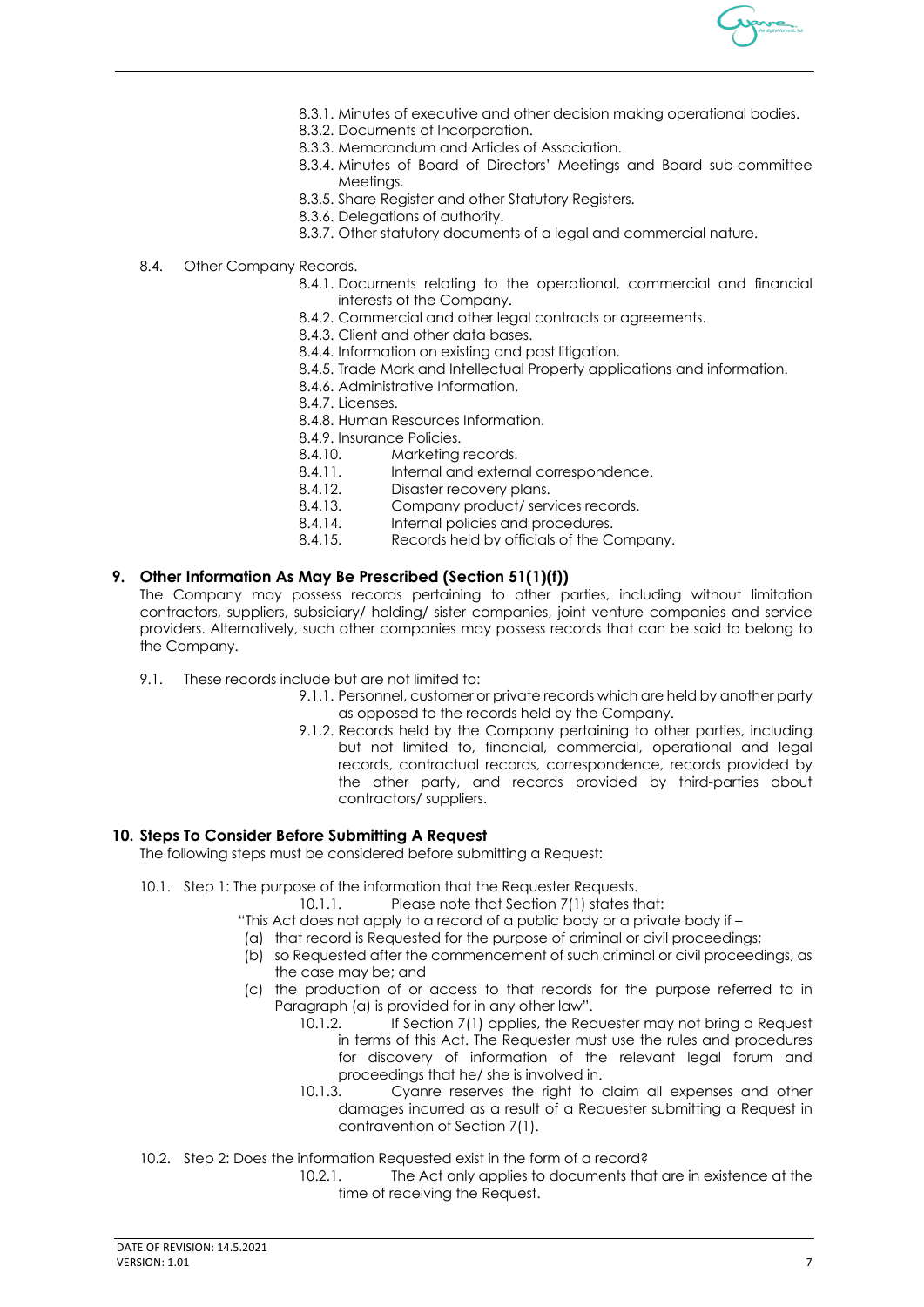

- 8.3.1. Minutes of executive and other decision making operational bodies.
- 8.3.2. Documents of Incorporation.
- 8.3.3. Memorandum and Articles of Association.
- 8.3.4. Minutes of Board of Directors' Meetings and Board sub-committee Meetings.
- 8.3.5. Share Register and other Statutory Registers.
- 8.3.6. Delegations of authority.
- 8.3.7. Other statutory documents of a legal and commercial nature.
- 8.4. Other Company Records.
	- 8.4.1. Documents relating to the operational, commercial and financial interests of the Company.
	- 8.4.2. Commercial and other legal contracts or agreements.
	- 8.4.3. Client and other data bases.
	- 8.4.4. Information on existing and past litigation.
	- 8.4.5. Trade Mark and Intellectual Property applications and information.
	- 8.4.6. Administrative Information.
	- 8.4.7. Licenses.
	- 8.4.8. Human Resources Information.

8.4.9. Insurance Policies.

- 8.4.10. Marketing records.<br>8.4.11. Internal and extern
- 8.4.11. Internal and external correspondence.<br>8.4.12. Disaster recovery plans.
- Disaster recovery plans.
- 8.4.13. Company product/ services records.<br>8.4.14. Internal policies and procedures.
- Internal policies and procedures.
- 8.4.15. Records held by officials of the Company.

#### **9. Other Information As May Be Prescribed (Section 51(1)(f))**

The Company may possess records pertaining to other parties, including without limitation contractors, suppliers, subsidiary/ holding/ sister companies, joint venture companies and service providers. Alternatively, such other companies may possess records that can be said to belong to the Company.

- 9.1. These records include but are not limited to:
	- 9.1.1. Personnel, customer or private records which are held by another party as opposed to the records held by the Company.
	- 9.1.2. Records held by the Company pertaining to other parties, including but not limited to, financial, commercial, operational and legal records, contractual records, correspondence, records provided by the other party, and records provided by third-parties about contractors/ suppliers.

#### **10. Steps To Consider Before Submitting A Request**

The following steps must be considered before submitting a Request:

10.1. Step 1: The purpose of the information that the Requester Requests.

10.1.1. Please note that Section 7(1) states that:

- "This Act does not apply to a record of a public body or a private body if –
- (a) that record is Requested for the purpose of criminal or civil proceedings;
- (b) so Requested after the commencement of such criminal or civil proceedings, as the case may be; and
- (c) the production of or access to that records for the purpose referred to in Paragraph (a) is provided for in any other law".
	- 10.1.2. If Section 7(1) applies, the Requester may not bring a Request in terms of this Act. The Requester must use the rules and procedures for discovery of information of the relevant legal forum and proceedings that he/ she is involved in.
	- 10.1.3. Cyanre reserves the right to claim all expenses and other damages incurred as a result of a Requester submitting a Request in contravention of Section 7(1).
- 10.2. Step 2: Does the information Requested exist in the form of a record?
	- 10.2.1. The Act only applies to documents that are in existence at the time of receiving the Request.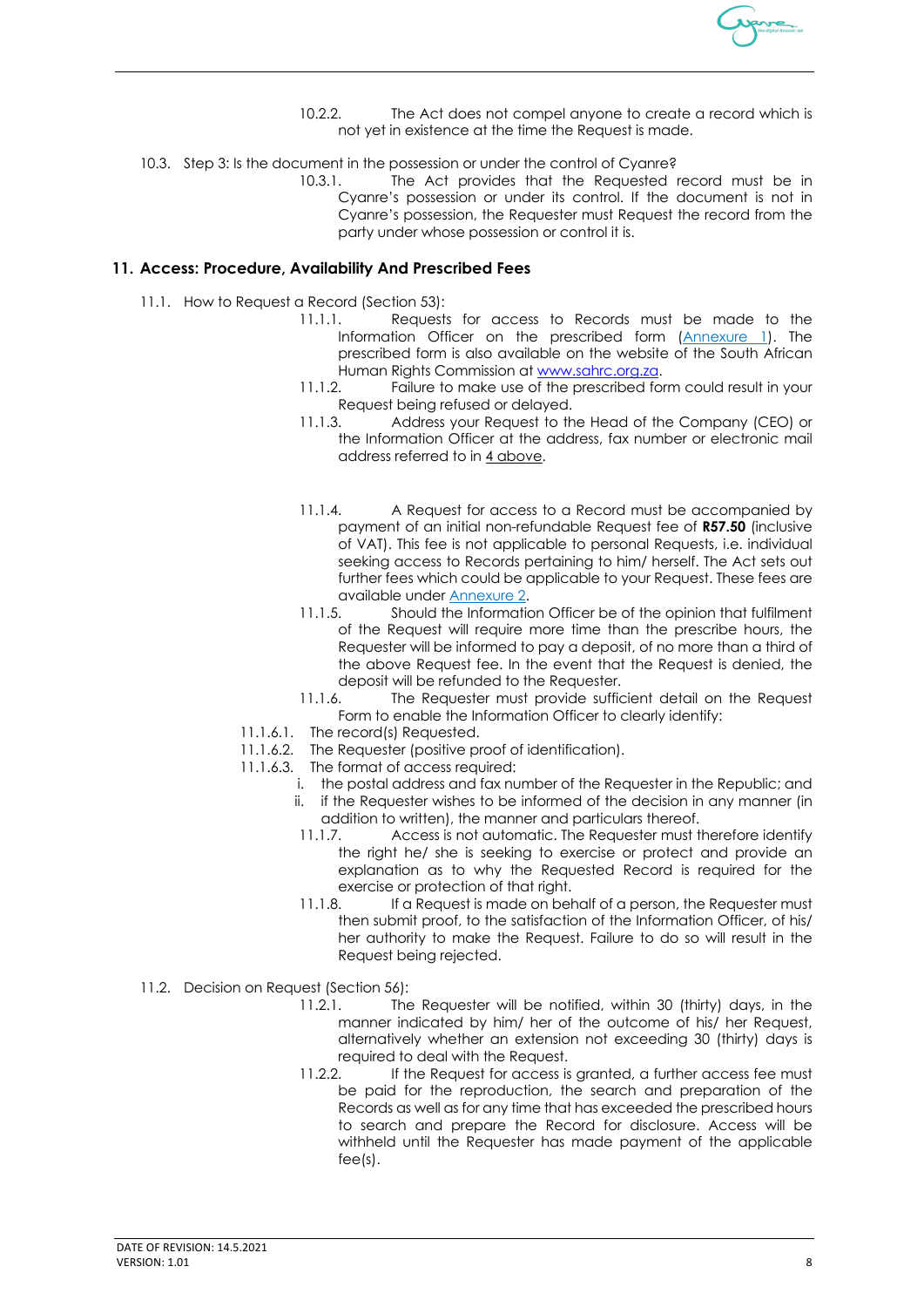

- 10.2.2. The Act does not compel anyone to create a record which is not yet in existence at the time the Request is made.
- 10.3. Step 3: Is the document in the possession or under the control of Cyanre?
	- The Act provides that the Requested record must be in Cyanre's possession or under its control. If the document is not in Cyanre's possession, the Requester must Request the record from the party under whose possession or control it is.

## **11. Access: Procedure, Availability And Prescribed Fees**

- 11.1. How to Request a Record (Section 53):
	- 11.1.1. Requests for access to Records must be made to the Information Officer on the prescribed form (Annexure 1). The prescribed form is also available on the website of the South African Human Rights Commission at www.sahrc.org.za.<br>1112 Failure to make use of the prescribed for
	- Failure to make use of the prescribed form could result in your Request being refused or delayed.
	- 11.1.3. Address your Request to the Head of the Company (CEO) or the Information Officer at the address, fax number or electronic mail address referred to in 4 above.
	- 11.1.4. A Request for access to a Record must be accompanied by payment of an initial non-refundable Request fee of **R57.50** (inclusive of VAT). This fee is not applicable to personal Requests, i.e. individual seeking access to Records pertaining to him/ herself. The Act sets out further fees which could be applicable to your Request. These fees are available under Annexure 2.
	- 11.1.5. Should the Information Officer be of the opinion that fulfilment of the Request will require more time than the prescribe hours, the Requester will be informed to pay a deposit, of no more than a third of the above Request fee. In the event that the Request is denied, the deposit will be refunded to the Requester.<br>11.1.6. The Requester must provide suffice
	- The Requester must provide sufficient detail on the Request Form to enable the Information Officer to clearly identify:
	- 11.1.6.1. The record(s) Requested.
	- 11.1.6.2. The Requester (positive proof of identification).
	- 11.1.6.3. The format of access required:
		- i. the postal address and fax number of the Requester in the Republic; and
		- ii. if the Requester wishes to be informed of the decision in any manner (in
			- addition to written), the manner and particulars thereof.
		- 11.1.7. Access is not automatic. The Requester must therefore identify the right he/ she is seeking to exercise or protect and provide an explanation as to why the Requested Record is required for the exercise or protection of that right.
		- 11.1.8. If a Request is made on behalf of a person, the Requester must then submit proof, to the satisfaction of the Information Officer, of his/ her authority to make the Request. Failure to do so will result in the Request being rejected.
- 11.2. Decision on Request (Section 56):
	- 11.2.1. The Requester will be notified, within 30 (thirty) days, in the manner indicated by him/ her of the outcome of his/ her Request, alternatively whether an extension not exceeding 30 (thirty) days is required to deal with the Request.
	- 11.2.2. If the Request for access is granted, a further access fee must be paid for the reproduction, the search and preparation of the Records as well as for any time that has exceeded the prescribed hours to search and prepare the Record for disclosure. Access will be withheld until the Requester has made payment of the applicable fee(s).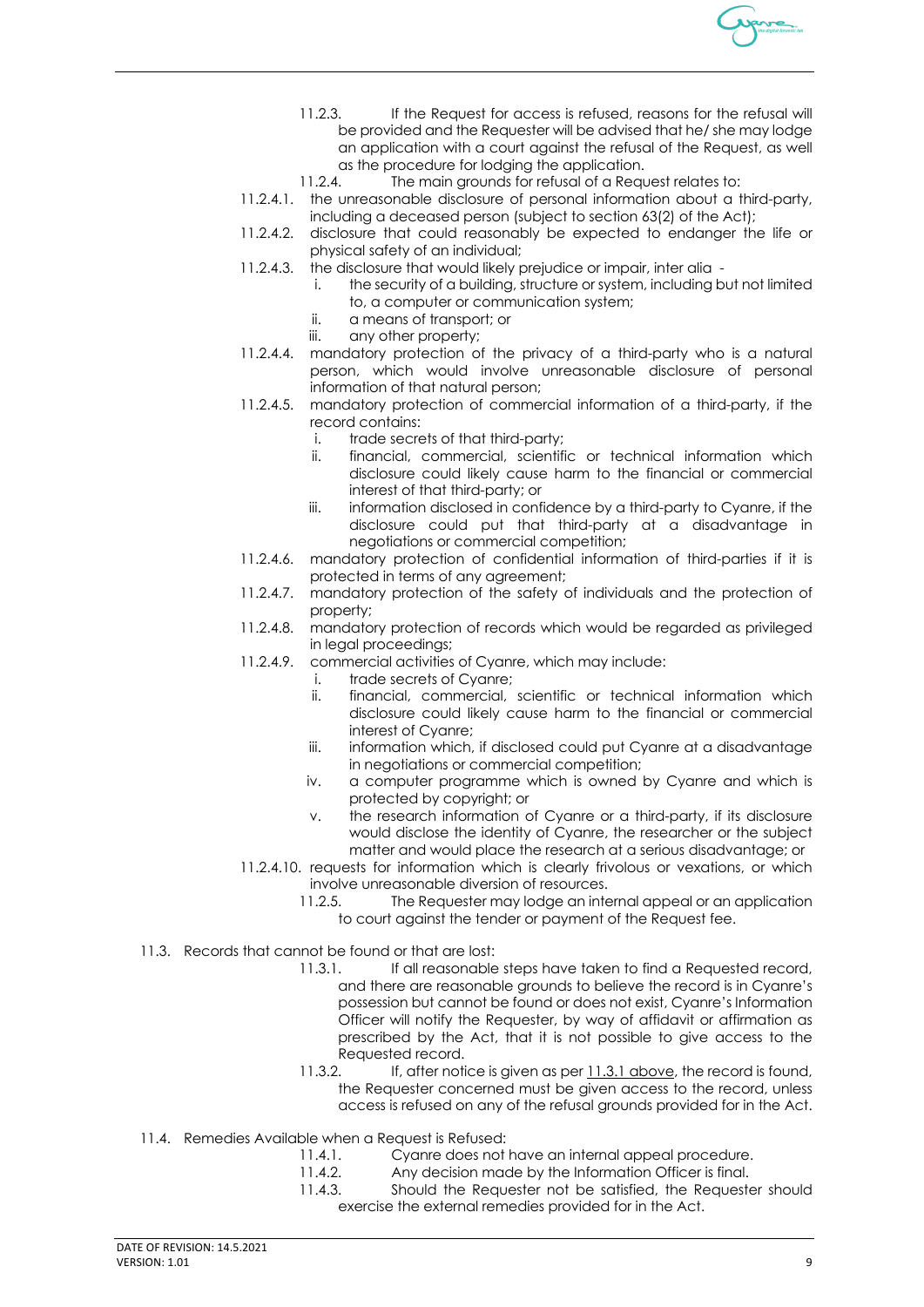

- 11.2.3. If the Request for access is refused, reasons for the refusal will be provided and the Requester will be advised that he/ she may lodge an application with a court against the refusal of the Request, as well as the procedure for lodging the application.
- 11.2.4. The main grounds for refusal of a Request relates to:
- 11.2.4.1. the unreasonable disclosure of personal information about a third-party, including a deceased person (subject to section 63(2) of the Act);
- 11.2.4.2. disclosure that could reasonably be expected to endanger the life or physical safety of an individual;
- 11.2.4.3. the disclosure that would likely prejudice or impair, inter alia
	- i. the security of a building, structure or system, including but not limited to, a computer or communication system;
	- ii. a means of transport; or
	- iii. any other property;
- 11.2.4.4. mandatory protection of the privacy of a third-party who is a natural person, which would involve unreasonable disclosure of personal information of that natural person;
- 11.2.4.5. mandatory protection of commercial information of a third-party, if the record contains:
	- i. trade secrets of that third-party;
	- ii. financial, commercial, scientific or technical information which disclosure could likely cause harm to the financial or commercial interest of that third-party; or
	- iii. information disclosed in confidence by a third-party to Cyanre, if the disclosure could put that third-party at a disadvantage in negotiations or commercial competition;
- 11.2.4.6. mandatory protection of confidential information of third-parties if it is protected in terms of any agreement;
- 11.2.4.7. mandatory protection of the safety of individuals and the protection of property;
- 11.2.4.8. mandatory protection of records which would be regarded as privileged in legal proceedings;
- 11.2.4.9. commercial activities of Cyanre, which may include:
	- i. trade secrets of Cyanre;
	- ii. financial, commercial, scientific or technical information which disclosure could likely cause harm to the financial or commercial interest of Cyanre;
	- iii. information which, if disclosed could put Cyanre at a disadvantage in negotiations or commercial competition;
	- iv. a computer programme which is owned by Cyanre and which is protected by copyright; or
	- v. the research information of Cyanre or a third-party, if its disclosure would disclose the identity of Cyanre, the researcher or the subject matter and would place the research at a serious disadvantage; or
- 11.2.4.10. requests for information which is clearly frivolous or vexations, or which
	- involve unreasonable diversion of resources.
	- 11.2.5. The Requester may lodge an internal appeal or an application to court against the tender or payment of the Request fee.
- 11.3. Records that cannot be found or that are lost:
	- 11.3.1. If all reasonable steps have taken to find a Requested record, and there are reasonable grounds to believe the record is in Cyanre's possession but cannot be found or does not exist, Cyanre's Information Officer will notify the Requester, by way of affidavit or affirmation as prescribed by the Act, that it is not possible to give access to the Requested record.
	- 11.3.2. If, after notice is given as per 11.3.1 above, the record is found, the Requester concerned must be given access to the record, unless access is refused on any of the refusal grounds provided for in the Act.
- 11.4. Remedies Available when a Request is Refused:
	- 11.4.1. Cyanre does not have an internal appeal procedure.
	- 11.4.2. Any decision made by the Information Officer is final.
	- 11.4.3. Should the Requester not be satisfied, the Requester should exercise the external remedies provided for in the Act.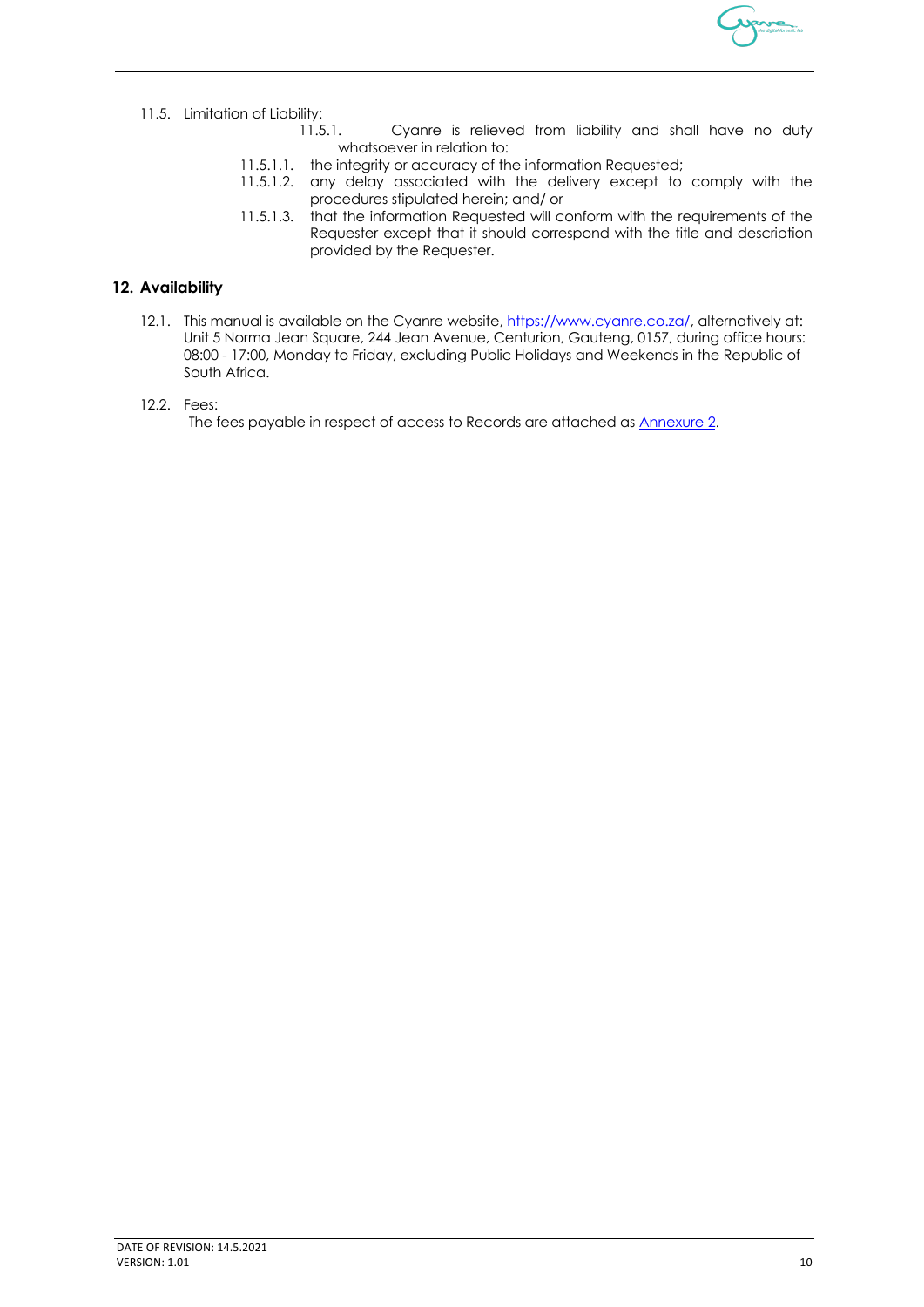

- 11.5. Limitation of Liability:
	- 11.5.1. Cyanre is relieved from liability and shall have no duty whatsoever in relation to:
	- 11.5.1.1. the integrity or accuracy of the information Requested;
	- 11.5.1.2. any delay associated with the delivery except to comply with the procedures stipulated herein; and/ or
	- 11.5.1.3. that the information Requested will conform with the requirements of the Requester except that it should correspond with the title and description provided by the Requester.

# **12. Availability**

- 12.1. This manual is available on the Cyanre website, https://www.cyanre.co.za/, alternatively at: Unit 5 Norma Jean Square, 244 Jean Avenue, Centurion, Gauteng, 0157, during office hours: 08:00 - 17:00, Monday to Friday, excluding Public Holidays and Weekends in the Republic of South Africa.
- 12.2. Fees:

The fees payable in respect of access to Records are attached as Annexure 2.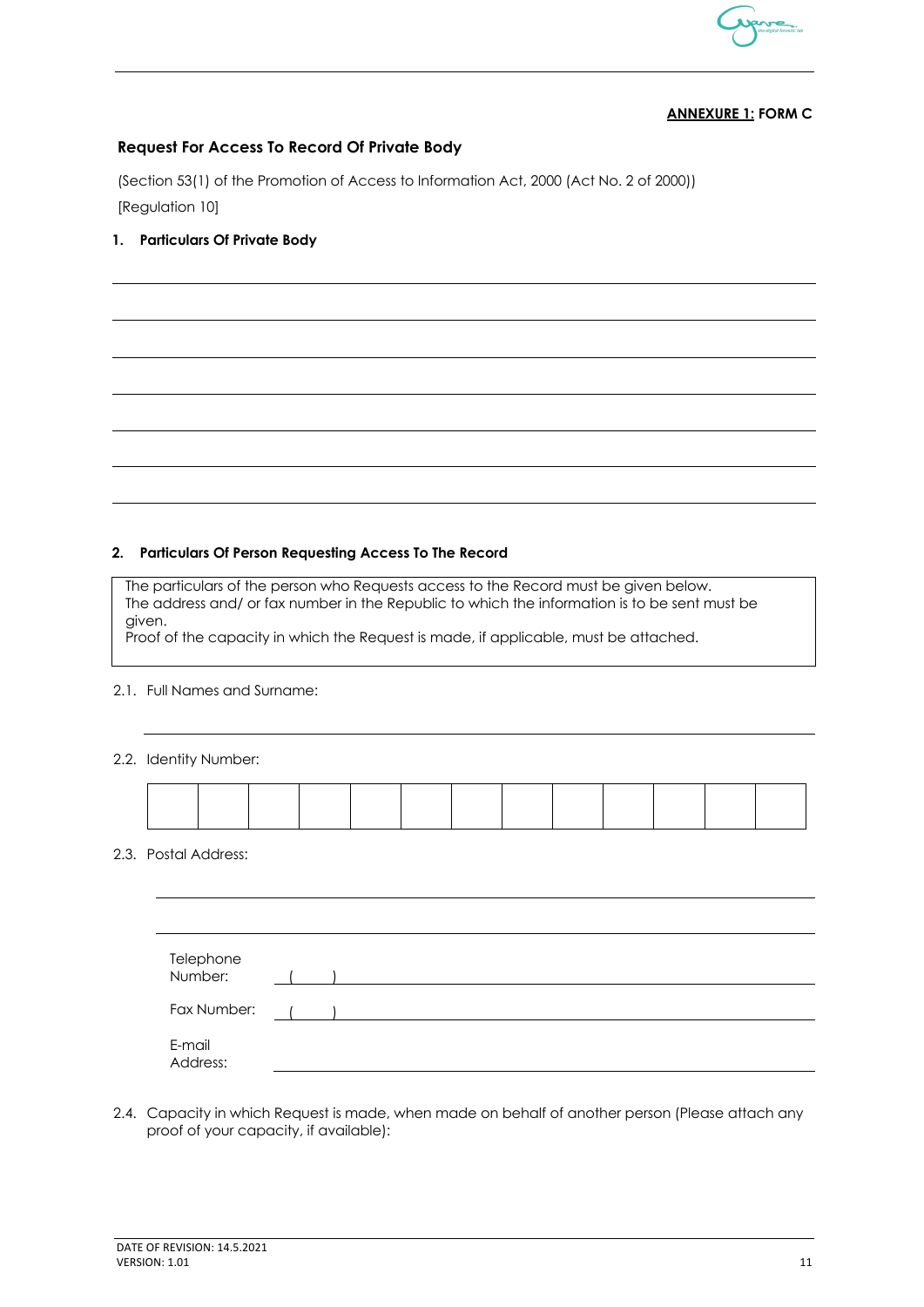

# **ANNEXURE 1: FORM C**

# **Request For Access To Record Of Private Body**

(Section 53(1) of the Promotion of Access to Information Act, 2000 (Act No. 2 of 2000)) [Regulation 10]

# **1. Particulars Of Private Body**

#### **2. Particulars Of Person Requesting Access To The Record**

The particulars of the person who Requests access to the Record must be given below. The address and/ or fax number in the Republic to which the information is to be sent must be given.

Proof of the capacity in which the Request is made, if applicable, must be attached.

# 2.1. Full Names and Surname:

#### 2.2. Identity Number:

#### 2.3. Postal Address:

| Telephone<br>Number: |  |
|----------------------|--|
| Fax Number:          |  |
| E-mail<br>Address:   |  |

2.4. Capacity in which Request is made, when made on behalf of another person (Please attach any proof of your capacity, if available):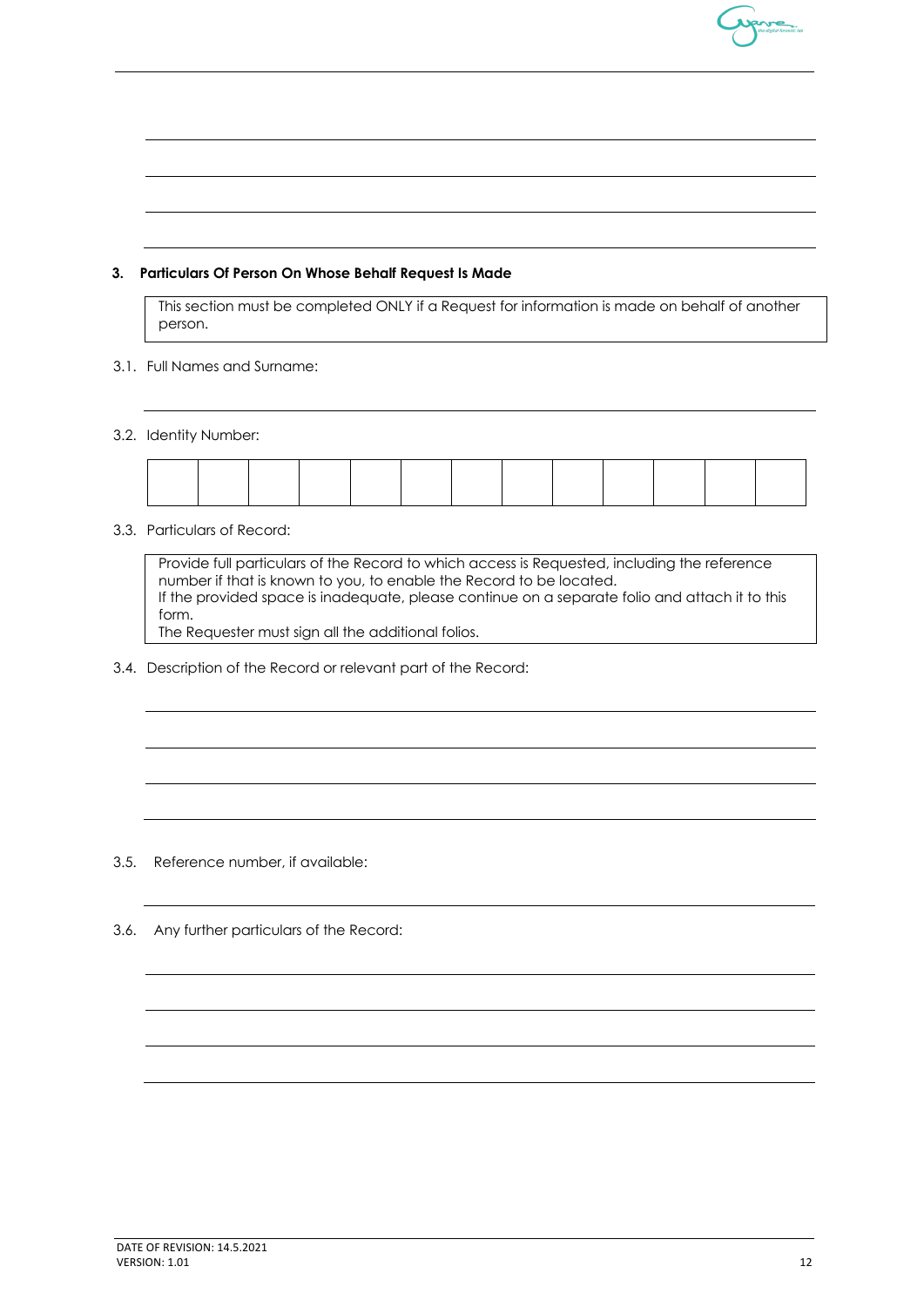

# **3. Particulars Of Person On Whose Behalf Request Is Made**

This section must be completed ONLY if a Request for information is made on behalf of another person.

#### 3.1. Full Names and Surname:

#### 3.2. Identity Number:



# 3.3. Particulars of Record:

Provide full particulars of the Record to which access is Requested, including the reference number if that is known to you, to enable the Record to be located. If the provided space is inadequate, please continue on a separate folio and attach it to this form.

The Requester must sign all the additional folios.

3.4. Description of the Record or relevant part of the Record:

- 3.5. Reference number, if available:
- 3.6. Any further particulars of the Record: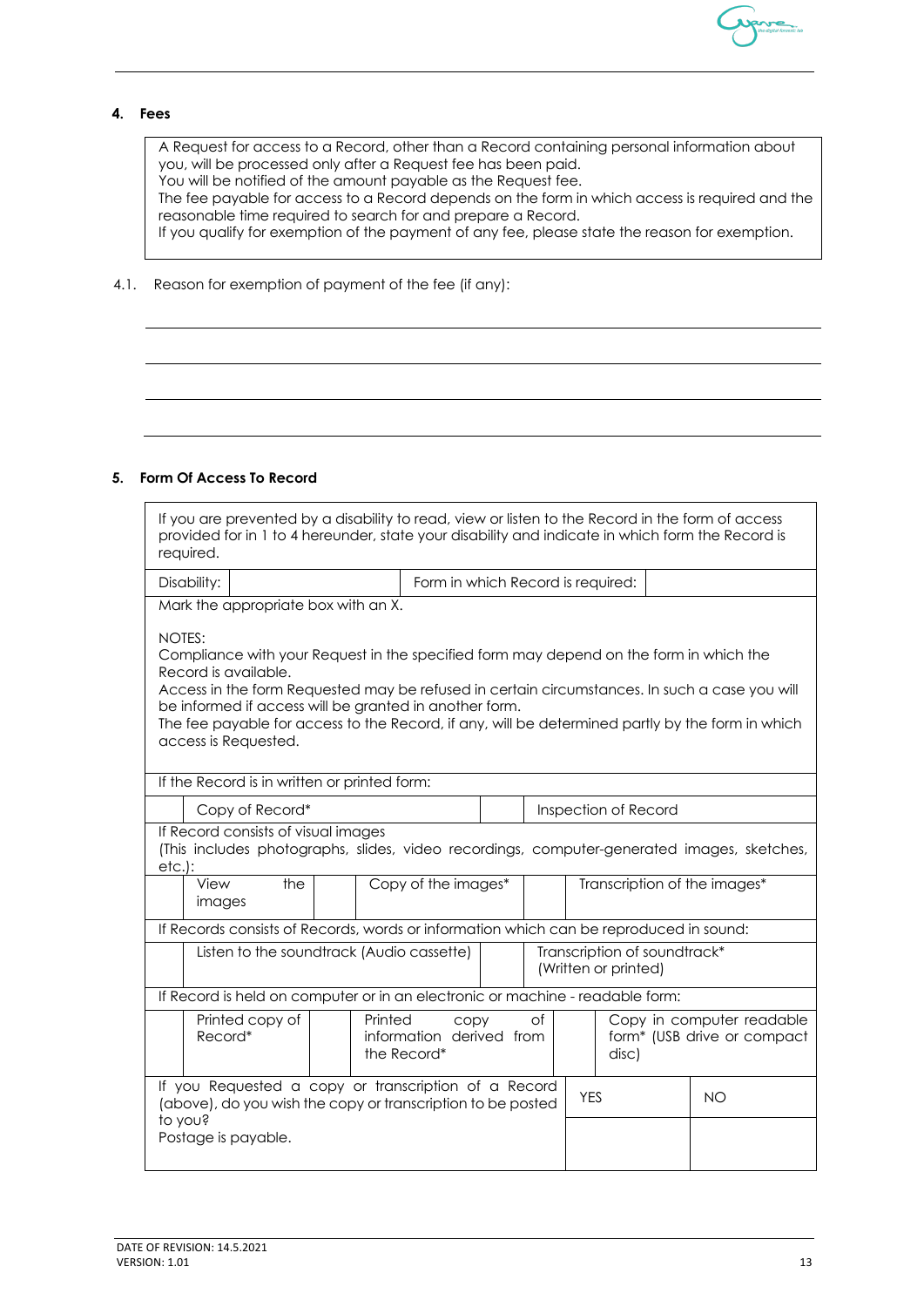

# **4. Fees**

A Request for access to a Record, other than a Record containing personal information about you, will be processed only after a Request fee has been paid. You will be notified of the amount payable as the Request fee.

The fee payable for access to a Record depends on the form in which access is required and the reasonable time required to search for and prepare a Record.

If you qualify for exemption of the payment of any fee, please state the reason for exemption.

4.1. Reason for exemption of payment of the fee (if any):

# **5. Form Of Access To Record**

| If you are prevented by a disability to read, view or listen to the Record in the form of access<br>provided for in 1 to 4 hereunder, state your disability and indicate in which form the Record is<br>required.                                                                                                                                                                                               |                                                                                                                                   |                                                                                                                                       |  |  |  |            |                                                      |     |
|-----------------------------------------------------------------------------------------------------------------------------------------------------------------------------------------------------------------------------------------------------------------------------------------------------------------------------------------------------------------------------------------------------------------|-----------------------------------------------------------------------------------------------------------------------------------|---------------------------------------------------------------------------------------------------------------------------------------|--|--|--|------------|------------------------------------------------------|-----|
|                                                                                                                                                                                                                                                                                                                                                                                                                 | Disability:<br>Form in which Record is required:                                                                                  |                                                                                                                                       |  |  |  |            |                                                      |     |
|                                                                                                                                                                                                                                                                                                                                                                                                                 | Mark the appropriate box with an X.                                                                                               |                                                                                                                                       |  |  |  |            |                                                      |     |
| NOTES:<br>Compliance with your Request in the specified form may depend on the form in which the<br>Record is available.<br>Access in the form Requested may be refused in certain circumstances. In such a case you will<br>be informed if access will be granted in another form.<br>The fee payable for access to the Record, if any, will be determined partly by the form in which<br>access is Requested. |                                                                                                                                   |                                                                                                                                       |  |  |  |            |                                                      |     |
|                                                                                                                                                                                                                                                                                                                                                                                                                 | If the Record is in written or printed form:                                                                                      |                                                                                                                                       |  |  |  |            |                                                      |     |
|                                                                                                                                                                                                                                                                                                                                                                                                                 | Copy of Record*                                                                                                                   |                                                                                                                                       |  |  |  |            | Inspection of Record                                 |     |
| $etc.$ :                                                                                                                                                                                                                                                                                                                                                                                                        | If Record consists of visual images<br>(This includes photographs, slides, video recordings, computer-generated images, sketches, |                                                                                                                                       |  |  |  |            |                                                      |     |
|                                                                                                                                                                                                                                                                                                                                                                                                                 | View<br>the<br>Copy of the images*<br>Transcription of the images*<br>images                                                      |                                                                                                                                       |  |  |  |            |                                                      |     |
|                                                                                                                                                                                                                                                                                                                                                                                                                 | If Records consists of Records, words or information which can be reproduced in sound:                                            |                                                                                                                                       |  |  |  |            |                                                      |     |
|                                                                                                                                                                                                                                                                                                                                                                                                                 | Listen to the soundtrack (Audio cassette)                                                                                         |                                                                                                                                       |  |  |  |            | Transcription of soundtrack*<br>(Written or printed) |     |
|                                                                                                                                                                                                                                                                                                                                                                                                                 | If Record is held on computer or in an electronic or machine - readable form:                                                     |                                                                                                                                       |  |  |  |            |                                                      |     |
|                                                                                                                                                                                                                                                                                                                                                                                                                 | Printed copy of<br>Record*                                                                                                        | Printed<br>of<br>Copy in computer readable<br>copy<br>information derived from<br>form* (USB drive or compact<br>the Record*<br>disc) |  |  |  |            |                                                      |     |
| If you Requested a copy or transcription of a Record<br>(above), do you wish the copy or transcription to be posted                                                                                                                                                                                                                                                                                             |                                                                                                                                   |                                                                                                                                       |  |  |  | <b>YES</b> |                                                      | NO. |
| to you?<br>Postage is payable.                                                                                                                                                                                                                                                                                                                                                                                  |                                                                                                                                   |                                                                                                                                       |  |  |  |            |                                                      |     |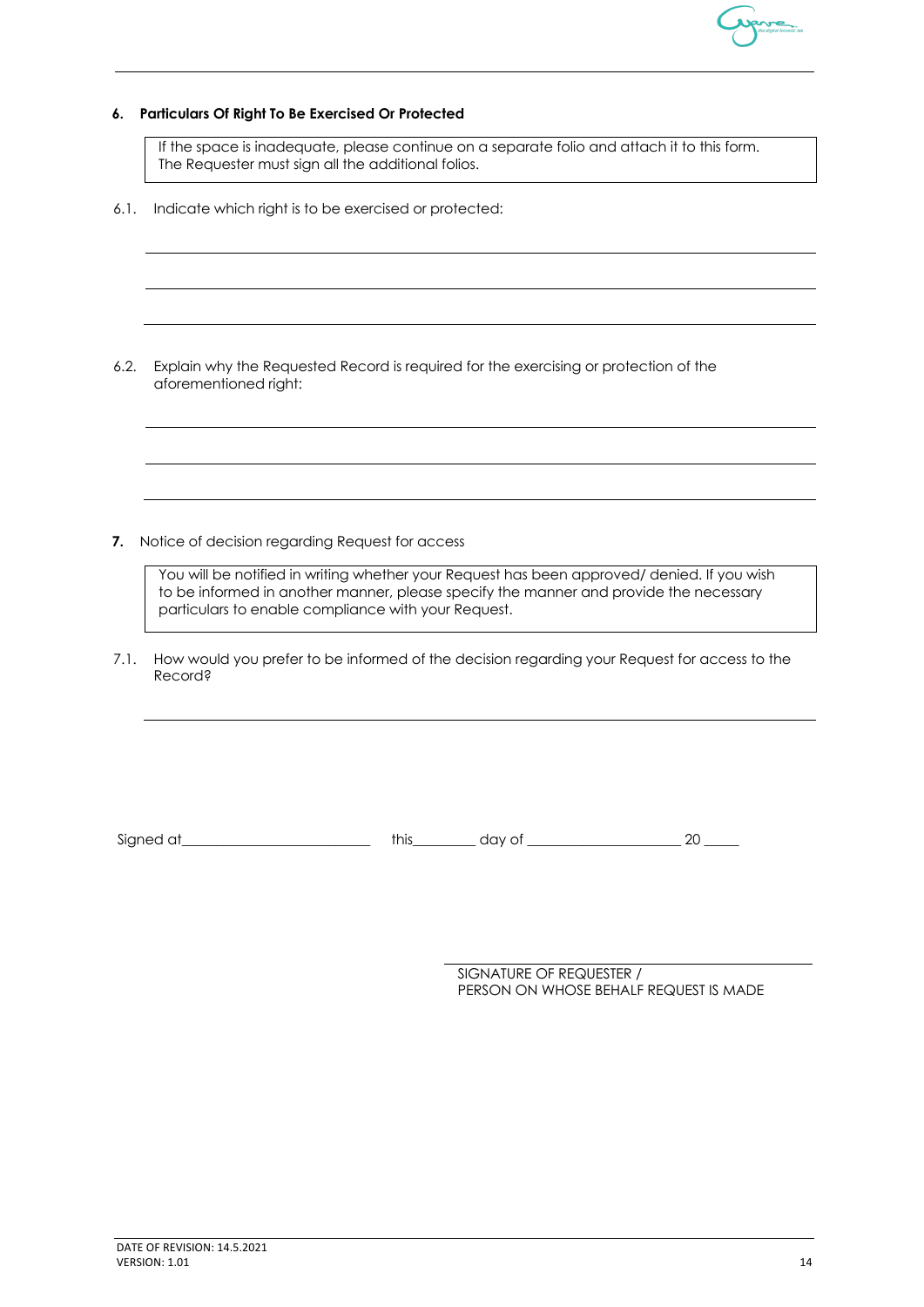

## **6. Particulars Of Right To Be Exercised Or Protected**

If the space is inadequate, please continue on a separate folio and attach it to this form. The Requester must sign all the additional folios.

6.1. Indicate which right is to be exercised or protected:

6.2. Explain why the Requested Record is required for the exercising or protection of the aforementioned right:

**7.** Notice of decision regarding Request for access

You will be notified in writing whether your Request has been approved/ denied. If you wish to be informed in another manner, please specify the manner and provide the necessary particulars to enable compliance with your Request.

7.1. How would you prefer to be informed of the decision regarding your Request for access to the Record?

Signed at\_\_\_\_\_\_\_\_\_\_\_\_\_\_\_\_\_\_\_\_\_\_\_\_\_\_\_ this\_\_\_\_\_\_\_\_\_ day of \_\_\_\_\_\_\_\_\_\_\_\_\_\_\_\_\_\_\_\_\_\_ 20 \_\_\_\_\_

SIGNATURE OF REQUESTER / PERSON ON WHOSE BEHALF REQUEST IS MADE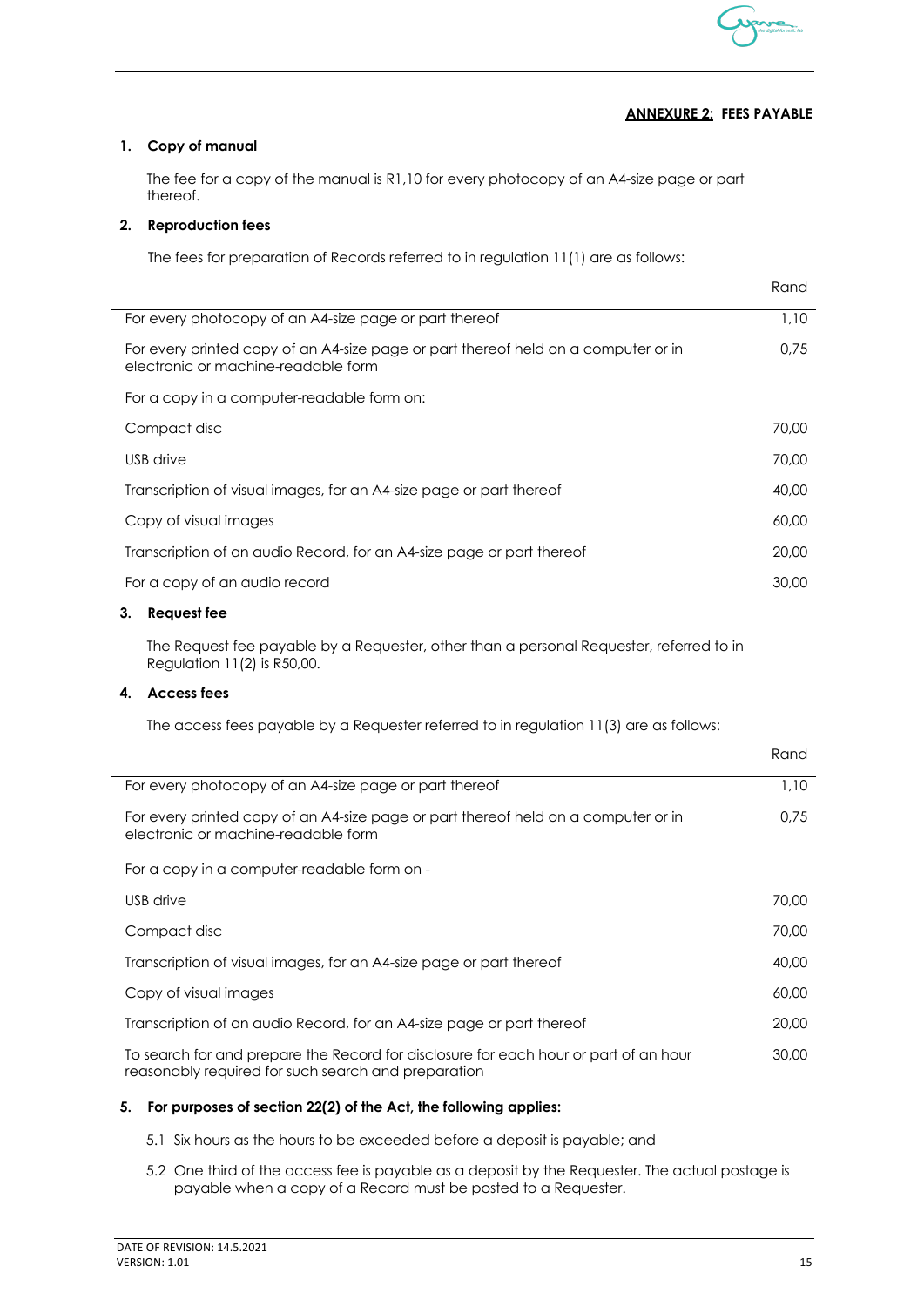

# **ANNEXURE 2: FEES PAYABLE**

 $\mathbf{I}$ 

#### **1. Copy of manual**

The fee for a copy of the manual is R1,10 for every photocopy of an A4-size page or part thereof.

#### **2. Reproduction fees**

The fees for preparation of Records referred to in regulation 11(1) are as follows:

|                                                                                                                           | Rand  |
|---------------------------------------------------------------------------------------------------------------------------|-------|
| For every photocopy of an A4-size page or part thereof                                                                    | 1,10  |
| For every printed copy of an A4-size page or part thereof held on a computer or in<br>electronic or machine-readable form | 0.75  |
| For a copy in a computer-readable form on:                                                                                |       |
| Compact disc                                                                                                              | 70,00 |
| USB drive                                                                                                                 | 70.00 |
| Transcription of visual images, for an A4-size page or part thereof                                                       | 40,00 |
| Copy of visual images                                                                                                     | 60.00 |
| Transcription of an audio Record, for an A4-size page or part thereof                                                     | 20,00 |
| For a copy of an audio record                                                                                             | 30,00 |
|                                                                                                                           |       |

#### **3. Request fee**

The Request fee payable by a Requester, other than a personal Requester, referred to in Regulation 11(2) is R50,00.

# **4. Access fees**

The access fees payable by a Requester referred to in regulation 11(3) are as follows:

|                                                                                                                                             | Rand  |
|---------------------------------------------------------------------------------------------------------------------------------------------|-------|
| For every photocopy of an A4-size page or part thereof                                                                                      | 1,10  |
| For every printed copy of an A4-size page or part thereof held on a computer or in<br>electronic or machine-readable form                   | 0.75  |
| For a copy in a computer-readable form on -                                                                                                 |       |
| USB drive                                                                                                                                   | 70,00 |
| Compact disc                                                                                                                                | 70,00 |
| Transcription of visual images, for an A4-size page or part thereof                                                                         | 40,00 |
| Copy of visual images                                                                                                                       | 60,00 |
| Transcription of an audio Record, for an A4-size page or part thereof                                                                       | 20,00 |
| To search for and prepare the Record for disclosure for each hour or part of an hour<br>reasonably required for such search and preparation | 30,00 |
|                                                                                                                                             |       |

#### **5. For purposes of section 22(2) of the Act, the following applies:**

- 5.1 Six hours as the hours to be exceeded before a deposit is payable; and
- 5.2 One third of the access fee is payable as a deposit by the Requester. The actual postage is payable when a copy of a Record must be posted to a Requester.